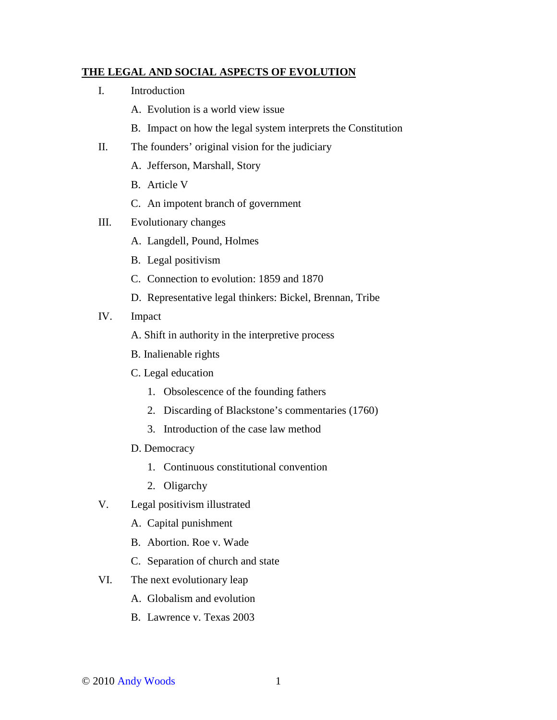## **THE LEGAL AND SOCIAL ASPECTS OF EVOLUTION**

- I. Introduction
	- A. Evolution is a world view issue
	- B. Impact on how the legal system interprets the Constitution
- II. The founders' original vision for the judiciary
	- A. Jefferson, Marshall, Story
	- B. Article V
	- C. An impotent branch of government
- III. Evolutionary changes
	- A. Langdell, Pound, Holmes
	- B. Legal positivism
	- C. Connection to evolution: 1859 and 1870
	- D. Representative legal thinkers: Bickel, Brennan, Tribe
- IV. Impact
	- A. Shift in authority in the interpretive process
	- B. Inalienable rights
	- C. Legal education
		- 1. Obsolescence of the founding fathers
		- 2. Discarding of Blackstone's commentaries (1760)
		- 3. Introduction of the case law method
	- D. Democracy
		- 1. Continuous constitutional convention
		- 2. Oligarchy
- V. Legal positivism illustrated
	- A. Capital punishment
	- B. Abortion. Roe v. Wade
	- C. Separation of church and state
- VI. The next evolutionary leap
	- A. Globalism and evolution
	- B. Lawrence v. Texas 2003